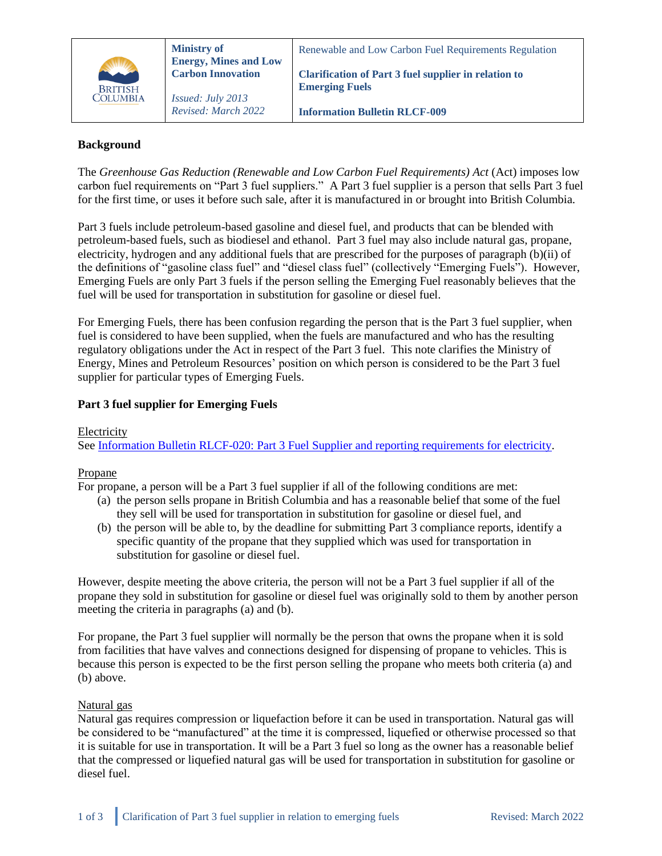

## **Background**

The *Greenhouse Gas Reduction (Renewable and Low Carbon Fuel Requirements) Act* (Act) imposes low carbon fuel requirements on "Part 3 fuel suppliers." A Part 3 fuel supplier is a person that sells Part 3 fuel for the first time, or uses it before such sale, after it is manufactured in or brought into British Columbia.

Part 3 fuels include petroleum-based gasoline and diesel fuel, and products that can be blended with petroleum-based fuels, such as biodiesel and ethanol. Part 3 fuel may also include natural gas, propane, electricity, hydrogen and any additional fuels that are prescribed for the purposes of paragraph (b)(ii) of the definitions of "gasoline class fuel" and "diesel class fuel" (collectively "Emerging Fuels"). However, Emerging Fuels are only Part 3 fuels if the person selling the Emerging Fuel reasonably believes that the fuel will be used for transportation in substitution for gasoline or diesel fuel.

For Emerging Fuels, there has been confusion regarding the person that is the Part 3 fuel supplier, when fuel is considered to have been supplied, when the fuels are manufactured and who has the resulting regulatory obligations under the Act in respect of the Part 3 fuel. This note clarifies the Ministry of Energy, Mines and Petroleum Resources' position on which person is considered to be the Part 3 fuel supplier for particular types of Emerging Fuels.

## **Part 3 fuel supplier for Emerging Fuels**

#### Electricity

See [Information Bulletin RLCF-020: Part 3 Fuel Supplier and reporting requirements for electricity.](https://www2.gov.bc.ca/assets/gov/farming-natural-resources-and-industry/electricity-alternative-energy/transportation/renewable-low-carbon-fuels/rlcf-020.pdf)

## Propane

For propane, a person will be a Part 3 fuel supplier if all of the following conditions are met:

- (a) the person sells propane in British Columbia and has a reasonable belief that some of the fuel they sell will be used for transportation in substitution for gasoline or diesel fuel, and
- (b) the person will be able to, by the deadline for submitting Part 3 compliance reports, identify a specific quantity of the propane that they supplied which was used for transportation in substitution for gasoline or diesel fuel.

However, despite meeting the above criteria, the person will not be a Part 3 fuel supplier if all of the propane they sold in substitution for gasoline or diesel fuel was originally sold to them by another person meeting the criteria in paragraphs (a) and (b).

For propane, the Part 3 fuel supplier will normally be the person that owns the propane when it is sold from facilities that have valves and connections designed for dispensing of propane to vehicles. This is because this person is expected to be the first person selling the propane who meets both criteria (a) and (b) above.

#### Natural gas

Natural gas requires compression or liquefaction before it can be used in transportation. Natural gas will be considered to be "manufactured" at the time it is compressed, liquefied or otherwise processed so that it is suitable for use in transportation. It will be a Part 3 fuel so long as the owner has a reasonable belief that the compressed or liquefied natural gas will be used for transportation in substitution for gasoline or diesel fuel.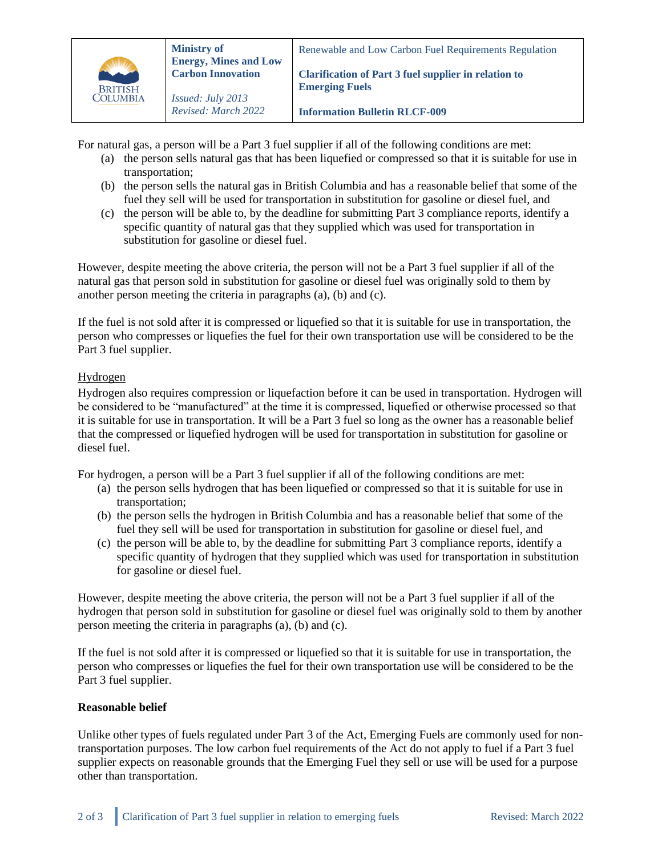

*Issued: July 2013*

For natural gas, a person will be a Part 3 fuel supplier if all of the following conditions are met:

- (a) the person sells natural gas that has been liquefied or compressed so that it is suitable for use in transportation;
- (b) the person sells the natural gas in British Columbia and has a reasonable belief that some of the fuel they sell will be used for transportation in substitution for gasoline or diesel fuel, and
- (c) the person will be able to, by the deadline for submitting Part 3 compliance reports, identify a specific quantity of natural gas that they supplied which was used for transportation in substitution for gasoline or diesel fuel.

However, despite meeting the above criteria, the person will not be a Part 3 fuel supplier if all of the natural gas that person sold in substitution for gasoline or diesel fuel was originally sold to them by another person meeting the criteria in paragraphs (a), (b) and (c).

If the fuel is not sold after it is compressed or liquefied so that it is suitable for use in transportation, the person who compresses or liquefies the fuel for their own transportation use will be considered to be the Part 3 fuel supplier.

# Hydrogen

Hydrogen also requires compression or liquefaction before it can be used in transportation. Hydrogen will be considered to be "manufactured" at the time it is compressed, liquefied or otherwise processed so that it is suitable for use in transportation. It will be a Part 3 fuel so long as the owner has a reasonable belief that the compressed or liquefied hydrogen will be used for transportation in substitution for gasoline or diesel fuel.

For hydrogen, a person will be a Part 3 fuel supplier if all of the following conditions are met:

- (a) the person sells hydrogen that has been liquefied or compressed so that it is suitable for use in transportation;
- (b) the person sells the hydrogen in British Columbia and has a reasonable belief that some of the fuel they sell will be used for transportation in substitution for gasoline or diesel fuel, and
- (c) the person will be able to, by the deadline for submitting Part 3 compliance reports, identify a specific quantity of hydrogen that they supplied which was used for transportation in substitution for gasoline or diesel fuel.

However, despite meeting the above criteria, the person will not be a Part 3 fuel supplier if all of the hydrogen that person sold in substitution for gasoline or diesel fuel was originally sold to them by another person meeting the criteria in paragraphs (a), (b) and (c).

If the fuel is not sold after it is compressed or liquefied so that it is suitable for use in transportation, the person who compresses or liquefies the fuel for their own transportation use will be considered to be the Part 3 fuel supplier.

## **Reasonable belief**

Unlike other types of fuels regulated under Part 3 of the Act, Emerging Fuels are commonly used for nontransportation purposes. The low carbon fuel requirements of the Act do not apply to fuel if a Part 3 fuel supplier expects on reasonable grounds that the Emerging Fuel they sell or use will be used for a purpose other than transportation.